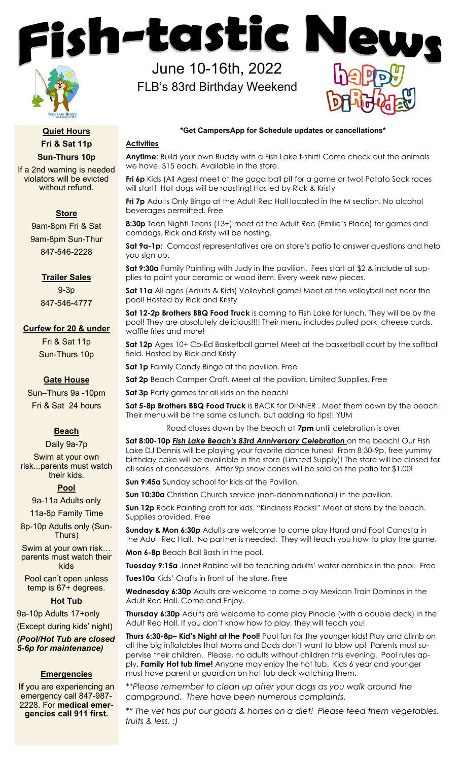ish-tastic N

June 10-16th, 2022

FLB's 83rd Birthday Weekend



**Quiet Hours Fri & Sat 11p Sun-Thurs 10p**

If a 2nd warning is needed violators will be evicted without refund.

## **Store**

9am-8pm Fri & Sat 9am-8pm Sun-Thur 847-546-2228

## **Trailer Sales**

9-3p 847-546-4777

### **Curfew for 20 & under**

Fri & Sat 11p Sun-Thurs 10p

## **Gate House**

Sun–Thurs 9a -10pm Fri & Sat 24 hours

# **Beach**

Daily 9a-7p Swim at your own risk...parents must watch their kids.

### **Pool**

9a-11a Adults only

11a-8p Family Time

8p-10p Adults only (Sun-Thurs)

Swim at your own risk… parents must watch their kids

Pool can't open unless temp is 67+ degrees.

## **Hot Tub**

9a-10p Adults 17+only

(Except during kids' night) *(Pool/Hot Tub are closed* 

*5-6p for maintenance)*

### **Emergencies**

**If** you are experiencing an emergency call 847-987- 2228. For **medical emergencies call 911 first.**

**\*Get CampersApp for Schedule updates or cancellations\***

### **Activities**

**Anytime**: Build your own Buddy with a Fish Lake t-shirt! Come check out the animals we have. \$15 each. Available in the store.

**Fri 6p** Kids (All Ages) meet at the gaga ball pit for a game or two! Potato Sack races will start! Hot dogs will be roasting! Hosted by Rick & Kristy

**Fri 7p** Adults Only Bingo at the Adult Rec Hall located in the M section. No alcohol beverages permitted. Free

**8:30p** Teen Night! Teens (13+) meet at the Adult Rec (Emilie's Place) for games and corndogs. Rick and Kristy will be hosting.

**Sat 9a-1p:** Comcast representatives are on store's patio to answer questions and help you sign up.

**Sat 9:30a** Family Painting with Judy in the pavilion. Fees start at \$2 & include all supplies to paint your ceramic or wood item. Every week new pieces.

**Sat 11a** All ages (Adults & Kids) Volleyball game! Meet at the volleyball net near the pool! Hosted by Rick and Kristy

**Sat 12-2p Brothers BBQ Food Truck** is coming to Fish Lake for lunch. They will be by the pool! They are absolutely delicious!!!! Their menu includes pulled pork, cheese curds, waffle fries and more!

**Sat 12p** Ages 10+ Co-Ed Basketball game! Meet at the basketball court by the softball field. Hosted by Rick and Kristy

**Sat 1p** Family Candy Bingo at the pavilion. Free

**Sat 2p** Beach Camper Craft. Meet at the pavilion. Limited Supplies. Free

**Sat 3p** Party games for all kids on the beach!

**Sat 5-8p Brothers BBQ Food Truck** is BACK for DINNER . Meet them down by the beach. Their menu will be the same as lunch, but adding rib tips!! YUM

Road closes down by the beach at **7pm** until celebration is over

Sat 8:00-10p **Fish Lake Beach's 83rd Anniversary Celebration** on the beach! Our Fish Lake DJ Dennis will be playing your favorite dance tunes! From 8:30-9p, free yummy birthday cake will be available in the store (Limited Supply)! The store will be closed for all sales of concessions. After 9p snow cones will be sold on the patio for \$1.00!

**Sun 9:45a** Sunday school for kids at the Pavilion.

**Sun 10:30a** Christian Church service (non-denominational) in the pavilion.

**Sun 12p** Rock Painting craft for kids. "Kindness Rocks!" Meet at store by the beach. Supplies provided. Free

**Sunday & Mon 6:30p** Adults are welcome to come play Hand and Foot Canasta in the Adult Rec Hall. No partner is needed. They will teach you how to play the game.

**Mon 6-8p** Beach Ball Bash in the pool.

**Tuesday 9:15a** Janet Rabine will be teaching adults' water aerobics in the pool. Free

**Tues10a** Kids' Crafts in front of the store. Free

**Wednesday 6:30p** Adults are welcome to come play Mexican Train Dominos in the Adult Rec Hall. Come and Enjoy.

**Thursday 6:30p** Adults are welcome to come play Pinocle (with a double deck) in the Adult Rec Hall. If you don't know how to play, they will teach you!

**Thurs 6:30-8p– Kid's Night at the Pool!** Pool fun for the younger kids! Play and climb on all the big inflatables that Moms and Dads don't want to blow up! Parents must supervise their children. Please, no adults without children this evening. Pool rules apply. **Family Hot tub time!** Anyone may enjoy the hot tub. Kids 6 year and younger must have parent or guardian on hot tub deck watching them.

*\*\*Please remember to clean up after your dogs as you walk around the campground. There have been numerous complaints.* 

*\*\* The vet has put our goats & horses on a diet! Please feed them vegetables, fruits & less. :)*